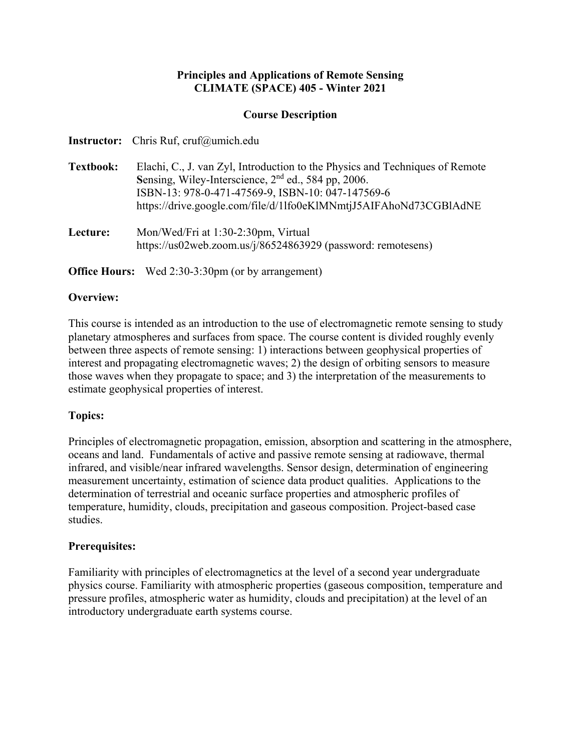## **Principles and Applications of Remote Sensing CLIMATE (SPACE) 405 - Winter 2021**

## **Course Description**

|                  | <b>Instructor:</b> Chris Ruf, cruf@umich.edu                                                                                                                                                                                                                              |
|------------------|---------------------------------------------------------------------------------------------------------------------------------------------------------------------------------------------------------------------------------------------------------------------------|
| <b>Textbook:</b> | Elachi, C., J. van Zyl, Introduction to the Physics and Techniques of Remote<br>Sensing, Wiley-Interscience, 2 <sup>nd</sup> ed., 584 pp, 2006.<br>ISBN-13: 978-0-471-47569-9, ISBN-10: 047-147569-6<br>https://drive.google.com/file/d/11fo0eKlMNmtjJ5AIFAhoNd73CGBIAdNE |
| Lecture:         | Mon/Wed/Fri at 1:30-2:30pm, Virtual<br>https://us02web.zoom.us/j/86524863929 (password: remotesens)                                                                                                                                                                       |

**Office Hours:** Wed 2:30-3:30pm (or by arrangement)

## **Overview:**

This course is intended as an introduction to the use of electromagnetic remote sensing to study planetary atmospheres and surfaces from space. The course content is divided roughly evenly between three aspects of remote sensing: 1) interactions between geophysical properties of interest and propagating electromagnetic waves; 2) the design of orbiting sensors to measure those waves when they propagate to space; and 3) the interpretation of the measurements to estimate geophysical properties of interest.

# **Topics:**

Principles of electromagnetic propagation, emission, absorption and scattering in the atmosphere, oceans and land. Fundamentals of active and passive remote sensing at radiowave, thermal infrared, and visible/near infrared wavelengths. Sensor design, determination of engineering measurement uncertainty, estimation of science data product qualities. Applications to the determination of terrestrial and oceanic surface properties and atmospheric profiles of temperature, humidity, clouds, precipitation and gaseous composition. Project-based case studies.

# **Prerequisites:**

Familiarity with principles of electromagnetics at the level of a second year undergraduate physics course. Familiarity with atmospheric properties (gaseous composition, temperature and pressure profiles, atmospheric water as humidity, clouds and precipitation) at the level of an introductory undergraduate earth systems course.